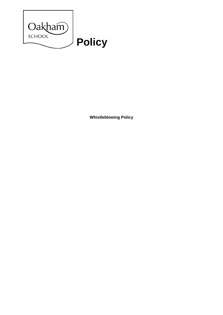

**Whistleblowing Policy**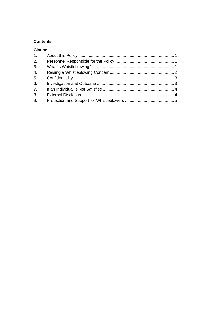# **Contents**

| <b>Clause</b>    |  |
|------------------|--|
| 1.               |  |
| 2.               |  |
| 3.               |  |
| 4.               |  |
| 5.               |  |
| 6.               |  |
| $\overline{7}$ . |  |
| 8.               |  |
| 9.               |  |
|                  |  |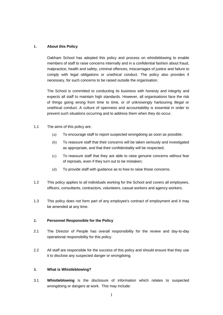# **1. About this Policy**

Oakham School has adopted this policy and process on whistleblowing to enable members of staff to raise concerns internally and in a confidential fashion about fraud, malpractice, health and safety, criminal offences, miscarriages of justice and failure to comply with legal obligations or unethical conduct. The policy also provides if necessary, for such concerns to be raised outside the organisation.

The School is committed to conducting its business with honesty and integrity and expects all staff to maintain high standards. However, all organisations face the risk of things going wrong from time to time, or of unknowingly harbouring illegal or unethical conduct. A culture of openness and accountability is essential in order to prevent such situations occurring and to address them when they do occur.

- 1.1 The aims of this policy are:
	- (a) To encourage staff to report suspected wrongdoing as soon as possible;
	- (b) To reassure staff that their concerns will be taken seriously and investigated as appropriate, and that their confidentiality will be respected;
	- (c) To reassure staff that they are able to raise genuine concerns without fear of reprisals, even if they turn out to be mistaken;
	- (d) To provide staff with guidance as to how to raise those concerns.
- 1.2 This policy applies to all individuals working for the School and covers all employees, officers, consultants, contractors, volunteers, casual workers and agency workers.
- 1.3 This policy does not form part of any employee's contract of employment and it may be amended at any time.

### **2. Personnel Responsible for the Policy**

- 2.1 The Director of People has overall responsibility for the review and day-to-day operational responsibility for this policy.
- 2.2 All staff are responsible for the success of this policy and should ensure that they use it to disclose any suspected danger or wrongdoing.

### **3. What is Whistleblowing?**

3.1 **Whistleblowing** is the disclosure of information which relates to suspected wrongdoing or dangers at work. This may include: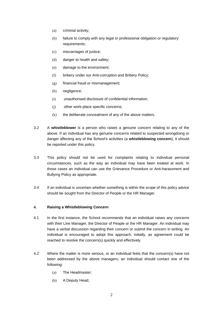- (a) criminal activity;
- (b) failure to comply with any legal or professional obligation or regulatory requirements;
- (c) miscarriages of justice;
- (d) danger to health and safety;
- (e) damage to the environment;
- (f) bribery under our Anti-corruption and Bribery Policy;
- (g) financial fraud or mismanagement;
- (h) negligence;
- (i) unauthorised disclosure of confidential information;
- (j) other work-place specific concerns;
- $(k)$  the deliberate concealment of any of the above matters.
- 3.2 A **whistleblower** is a person who raises a genuine concern relating to any of the above. If an individual has any genuine concerns related to suspected wrongdoing or danger affecting any of the School's activities (a **whistleblowing concern**), it should be reported under this policy.
- 3.3 This policy should not be used for complaints relating to individual personal circumstances, such as the way an individual may have been treated at work. In those cases an individual can use the Grievance Procedure or Anti-harassment and Bullying Policy as appropriate.
- 3.4 If an individual is uncertain whether something is within the scope of this policy advice should be sought from the Director of People or the HR Manager.

# <span id="page-3-0"></span>**4. Raising a Whistleblowing Concern**

- 4.1 In the first instance, the School recommends that an individual raises any concerns with their Line Manager, the Director of People or the HR Manager. An individual may have a verbal discussion regarding their concern or submit the concern in writing. An individual is encouraged to adopt this approach, initially, as agreement could be reached to resolve the concern(s) quickly and effectively.
- 4.2 Where the matter is more serious, or an individual feels that the concern(s) have not been addressed by the above managers, an individual should contact one of the following:
	- (a) The Headmaster;
	- (b) A Deputy Head;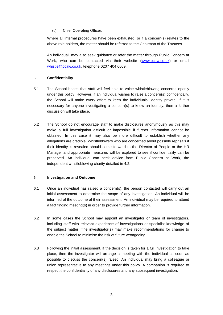# (c) Chief Operating Officer.

Where all internal procedures have been exhausted, or if a concern(s) relates to the above role holders, the matter should be referred to the Chairman of the Trustees.

An individual may also seek guidance or refer the matter through Public Concern at Work, who can be contacted via their website [\(www.pcaw.co.uk\)](http://www.pcaw.co.uk/) or email [whistle@pcaw.co.uk,](mailto:whistle@pcaw.co.uk) telephone 0207 404 6609.

# **5. Confidentiality**

- 5.1 The School hopes that staff will feel able to voice whistleblowing concerns openly under this policy. However, if an individual wishes to raise a concern(s) confidentially, the School will make every effort to keep the individuals' identity private. If it is necessary for anyone investigating a concern(s) to know an identity, then a further discussion will take place.
- 5.2 The School do not encourage staff to make disclosures anonymously as this may make a full investigation difficult or impossible if further information cannot be obtained. In this case it may also be more difficult to establish whether any allegations are credible. Whistleblowers who are concerned about possible reprisals if their identity is revealed should come forward to the Director of People or the HR Manager and appropriate measures will be explored to see if confidentiality can be preserved. An individual can seek advice from Public Concern at Work, the independent whistleblowing charity detailed in 4.2.

### **6. Investigation and Outcome**

- 6.1 Once an individual has raised a concern(s), the person contacted will carry out an initial assessment to determine the scope of any investigation. An individual will be informed of the outcome of their assessment. An individual may be required to attend a fact finding meeting(s) in order to provide further information.
- 6.2 In some cases the School may appoint an investigator or team of investigators, including staff with relevant experience of investigations or specialist knowledge of the subject matter. The investigator(s) may make recommendations for change to enable the School to minimise the risk of future wrongdoing.
- 6.3 Following the initial assessment, if the decision is taken for a full investigation to take place, then the investigator will arrange a meeting with the individual as soon as possible to discuss the concern(s) raised. An individual may bring a colleague or union representative to any meetings under this policy. A companion is required to respect the confidentiality of any disclosures and any subsequent investigation.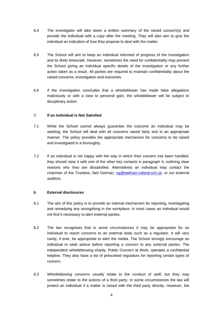- 6.4 The investigator will take down a written summary of the raised concern(s) and provide the individual with a copy after the meeting. They will also aim to give the individual an indication of how they propose to deal with the matter.
- 6.5 The School will aim to keep an individual informed of progress of the investigation and its likely timescale. However, sometimes the need for confidentiality may prevent the School giving an individual specific details of the investigation or any further action taken as a result. All parties are required to maintain confidentiality about the raised concerns, investigation and outcomes.
- 6.6 If the investigation concludes that a whistleblower has made false allegations maliciously or with a view to personal gain, the whistleblower will be subject to disciplinary action.

# **7. If an Individual is Not Satisfied**

- 7.1 While the School cannot always guarantee the outcome an individual may be seeking, the School will deal with all concerns raised fairly and in an appropriate manner. The policy provides the appropriate mechanism for concerns to be raised and investigated in a thoroughly.
- 7.2 If an individual is not happy with the way in which their concern has been handled, they should raise it with one of the other key contacts in paragraph [4,](#page-3-0) outlining clear reasons why they are dissatisfied. Alternatively an individual may contact the chairman of the Trustees, Neil Gorman, [ng@oakham.rutland.sch.uk,](mailto:ng@oakham.rutland.sch.uk) or our external auditors.

### **8. External disclosures**

- 8.1 The aim of this policy is to provide an internal mechanism for reporting, investigating and remedying any wrongdoing in the workplace. In most cases an individual would not find it necessary to alert external parties.
- 8.2 The law recognises that in some circumstances it may be appropriate for an individual to report concerns to an external body such as a regulator. It will very rarely, if ever, be appropriate to alert the media. The School strongly encourage an individual to seek advice before reporting a concern to any external parties. The independent whistleblowing charity, Public Concern at Work, operates a confidential helpline. They also have a list of prescribed regulators for reporting certain types of concern.
- 8.3 Whistleblowing concerns usually relate to the conduct of staff, but they may sometimes relate to the actions of a third party. In some circumstances the law will protect an individual if a matter is raised with the third party directly. However, the